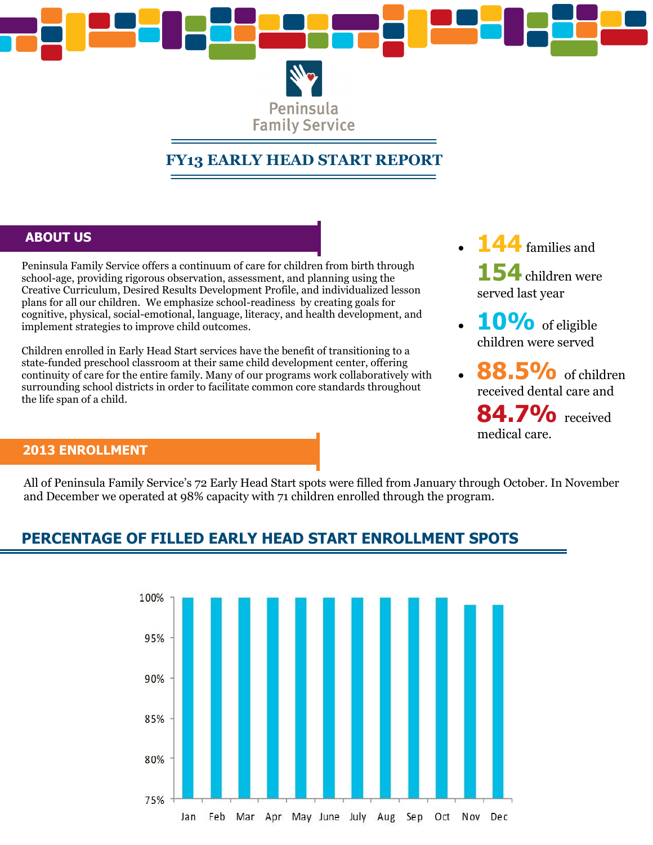

Peninsula **Family Service** 

# **FY13 EARLY HEAD START REPORT**

#### **ABOUT US**

Peninsula Family Service offers a continuum of care for children from birth through school-age, providing rigorous observation, assessment, and planning using the Creative Curriculum, Desired Results Development Profile, and individualized lesson plans for all our children. We emphasize school-readiness by creating goals for cognitive, physical, social-emotional, language, literacy, and health development, and implement strategies to improve child outcomes.

Children enrolled in Early Head Start services have the benefit of transitioning to a state-funded preschool classroom at their same child development center, offering continuity of care for the entire family. Many of our programs work collaboratively with surrounding school districts in order to facilitate common core standards throughout the life span of a child.

- **144** families and 154 children were served last year
- 10% of eligible children were served
- 8.5% of children received dental care and **84.7%** received medical care.

#### **2013 ENROLLMENT**

All of Peninsula Family Service's 72 Early Head Start spots were filled from January through October. In November and December we operated at 98% capacity with 71 children enrolled through the program.

## **PERCENTAGE OF FILLED EARLY HEAD START ENROLLMENT SPOTS**

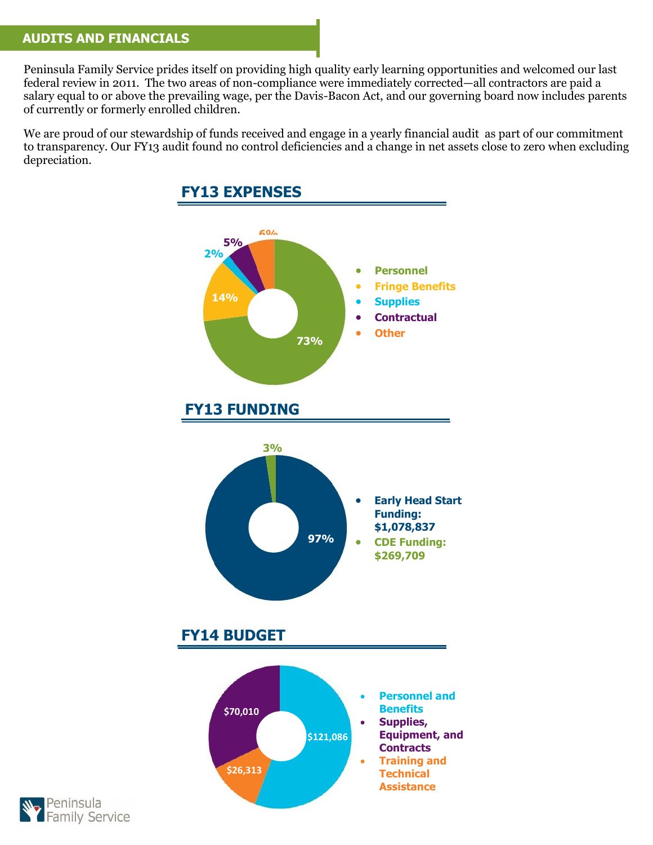### **AUDITS AND FINANCIALS**

Peninsula Family Service prides itself on providing high quality early learning opportunities and welcomed our last federal review in 2011. The two areas of non-compliance were immediately corrected—all contractors are paid a salary equal to or above the prevailing wage, per the Davis-Bacon Act, and our governing board now includes parents of currently or formerly enrolled children.

We are proud of our stewardship of funds received and engage in a yearly financial audit as part of our commitment to transparency. Our FY13 audit found no control deficiencies and a change in net assets close to zero when excluding depreciation.